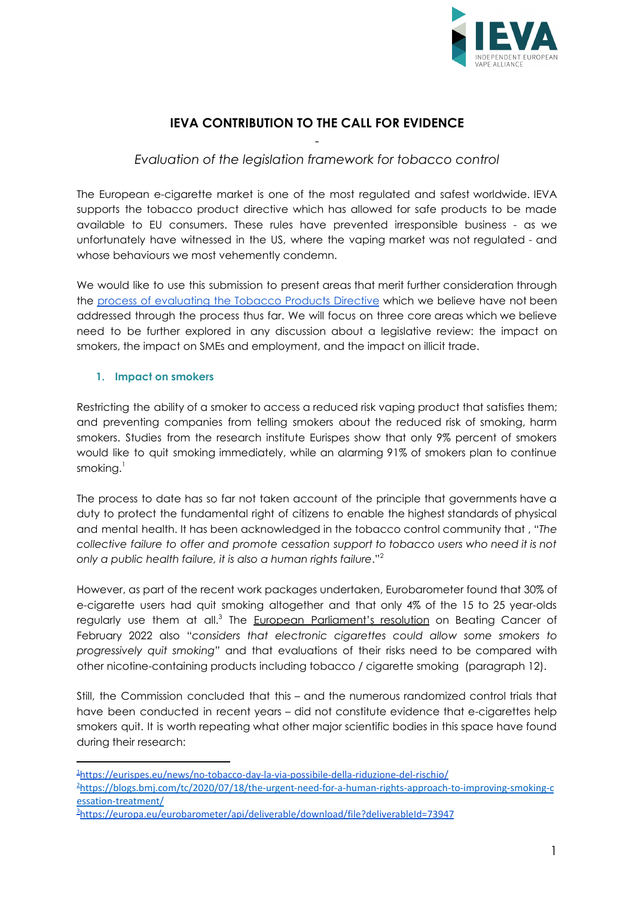

# **IEVA CONTRIBUTION TO THE CALL FOR EVIDENCE**

## - *Evaluation of the legislation framework for tobacco control*

The European e-cigarette market is one of the most regulated and safest worldwide. IEVA supports the tobacco product directive which has allowed for safe products to be made available to EU consumers. These rules have prevented irresponsible business - as we unfortunately have witnessed in the US, where the vaping market was not regulated - and whose behaviours we most vehemently condemn.

We would like to use this submission to present areas that merit further consideration through the process of [evaluating](https://ec.europa.eu/info/law/better-regulation/have-your-say/initiatives/13481-Evaluation-of-the-legislative-framework-for-tobacco-control_en) the Tobacco Products Directive which we believe have not been addressed through the process thus far. We will focus on three core areas which we believe need to be further explored in any discussion about a legislative review: the impact on smokers, the impact on SMEs and employment, and the impact on illicit trade.

#### **1. Impact on smokers**

Restricting the ability of a smoker to access a reduced risk vaping product that satisfies them; and preventing companies from telling smokers about the reduced risk of smoking, harm smokers. Studies from the research institute Eurispes show that only 9% percent of smokers would like to quit smoking immediately, while an alarming 91% of smokers plan to continue smoking. $^{\rm l}$ 

The process to date has so far not taken account of the principle that governments have a duty to protect the fundamental right of citizens to enable the highest standards of physical and mental health. It has been acknowledged in the tobacco control community that , "*The collective failure to offer and promote cessation support to tobacco users who need it is not only a public health failure, it is also a human rights failure*." 2

However, as part of the recent work packages undertaken, Eurobarometer found that 30% of e-cigarette users had quit smoking altogether and that only 4% of the 15 to 25 year-olds regularly use them at all.<sup>3</sup> The <u>European [Parliament's](https://www.europarl.europa.eu/doceo/document/TA-9-2022-0038_EN.html) resolution</u> on Beating Cancer of February 2022 also "*considers that electronic cigarettes could allow some smokers to progressively quit smoking"* and that evaluations of their risks need to be compared with other nicotine-containing products including tobacco / cigarette smoking (paragraph 12).

Still, the Commission concluded that this – and the numerous randomized control trials that have been conducted in recent years – did not constitute evidence that e-cigarettes help smokers quit. It is worth repeating what other major scientific bodies in this space have found during their research:

<sup>1</sup><https://eurispes.eu/news/no-tobacco-day-la-via-possibile-della-riduzione-del-rischio/>

<sup>&</sup>lt;sup>2</sup>[https://blogs.bmj.com/tc/2020/07/18/the-urgent-need-for-a-human-rights-approach-to-improving-smoking-c](https://blogs.bmj.com/tc/2020/07/18/the-urgent-need-for-a-human-rights-approach-to-improving-smoking-cessation-treatment/) [essation-treatment/](https://blogs.bmj.com/tc/2020/07/18/the-urgent-need-for-a-human-rights-approach-to-improving-smoking-cessation-treatment/)

<sup>3</sup><https://europa.eu/eurobarometer/api/deliverable/download/file?deliverableId=73947>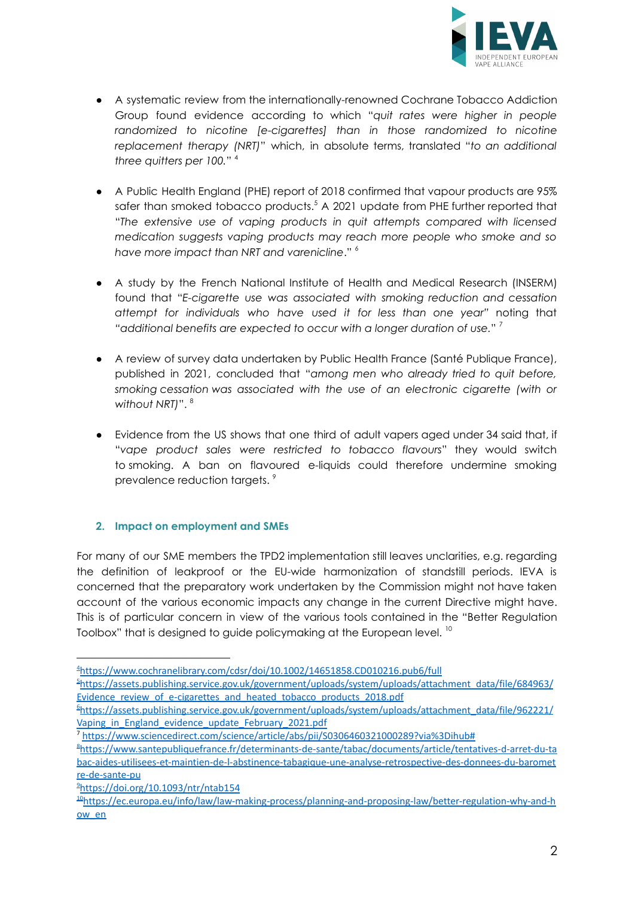

- A systematic review from the internationally-renowned Cochrane Tobacco Addiction Group found evidence according to which "*quit rates were higher in people randomized to nicotine [e-cigarettes] than in those randomized to nicotine replacement therapy (NRT)*" which, in absolute terms, translated "*to an additional three quitters per 100.*" 4
- A Public Health England (PHE) report of 2018 confirmed that vapour products are 95% safer than smoked tobacco products. <sup>5</sup> A 2021 update from PHE further reported that "*The extensive use of vaping products in quit attempts compared with licensed medication suggests vaping products may reach more people who smoke and so have more impact than NRT and varenicline*." 6
- A study by the French National Institute of Health and Medical Research (INSERM) found that "*E-cigarette use was associated with smoking reduction and cessation attempt for individuals who have used it for less than one year"* noting that *"additional benefits are expected to occur with a longer duration of use.*" 7
- A review of survey data undertaken by Public Health France (Santé Publique France), published in 2021, concluded that "*among men who already tried to quit before, smoking cessation was associated with the use of an electronic cigarette (with or without NRT)*". 8
- Evidence from the US shows that one third of adult vapers aged under 34 said that, if "*vape product sales were restricted to tobacco flavours*" they would switch to smoking. A ban on flavoured e-liquids could therefore undermine smoking prevalence reduction targets. 9

#### **2. Impact on employment and SMEs**

For many of our SME members the TPD2 implementation still leaves unclarities, e.g. regarding the definition of leakproof or the EU-wide harmonization of standstill periods. IEVA is concerned that the preparatory work undertaken by the Commission might not have taken account of the various economic impacts any change in the current Directive might have. This is of particular concern in view of the various tools contained in the "Better Regulation Toolbox" that is designed to guide policymaking at the European level.  $^{\mathsf{10}}$ 

<sup>4</sup><https://www.cochranelibrary.com/cdsr/doi/10.1002/14651858.CD010216.pub6/full>

<sup>5</sup>[https://assets.publishing.service.gov.uk/government/uploads/system/uploads/attachment\\_data/file/684963/](https://assets.publishing.service.gov.uk/government/uploads/system/uploads/attachment_data/file/684963/Evidence_review_of_e-cigarettes_and_heated_tobacco_products_2018.pdf) Evidence review of e-cigarettes and heated tobacco products 2018.pdf

<sup>6</sup>[https://assets.publishing.service.gov.uk/government/uploads/system/uploads/attachment\\_data/file/962221/](https://assets.publishing.service.gov.uk/government/uploads/system/uploads/attachment_data/file/962221/Vaping_in_England_evidence_update_February_2021.pdf) Vaping in England evidence update February 2021.pdf

<sup>7</sup> <https://www.sciencedirect.com/science/article/abs/pii/S0306460321000289?via%3Dihub#>

<sup>8</sup>[https://www.santepubliquefrance.fr/determinants-de-sante/tabac/documents/article/tentatives-d-arret-du-ta](https://www.santepubliquefrance.fr/determinants-de-sante/tabac/documents/article/tentatives-d-arret-du-tabac-aides-utilisees-et-maintien-de-l-abstinence-tabagique-une-analyse-retrospective-des-donnees-du-barometre-de-sante-pu) [bac-aides-utilisees-et-maintien-de-l-abstinence-tabagique-une-analyse-retrospective-des-donnees-du-baromet](https://www.santepubliquefrance.fr/determinants-de-sante/tabac/documents/article/tentatives-d-arret-du-tabac-aides-utilisees-et-maintien-de-l-abstinence-tabagique-une-analyse-retrospective-des-donnees-du-barometre-de-sante-pu) [re-de-sante-pu](https://www.santepubliquefrance.fr/determinants-de-sante/tabac/documents/article/tentatives-d-arret-du-tabac-aides-utilisees-et-maintien-de-l-abstinence-tabagique-une-analyse-retrospective-des-donnees-du-barometre-de-sante-pu)

 $^{2}$ <https://doi.org/10.1093/ntr/ntab154>

<sup>10</sup>[https://ec.europa.eu/info/law/law-making-process/planning-and-proposing-law/better-regulation-why-and-h](https://ec.europa.eu/info/law/law-making-process/planning-and-proposing-law/better-regulation-why-and-how_en) [ow\\_en](https://ec.europa.eu/info/law/law-making-process/planning-and-proposing-law/better-regulation-why-and-how_en)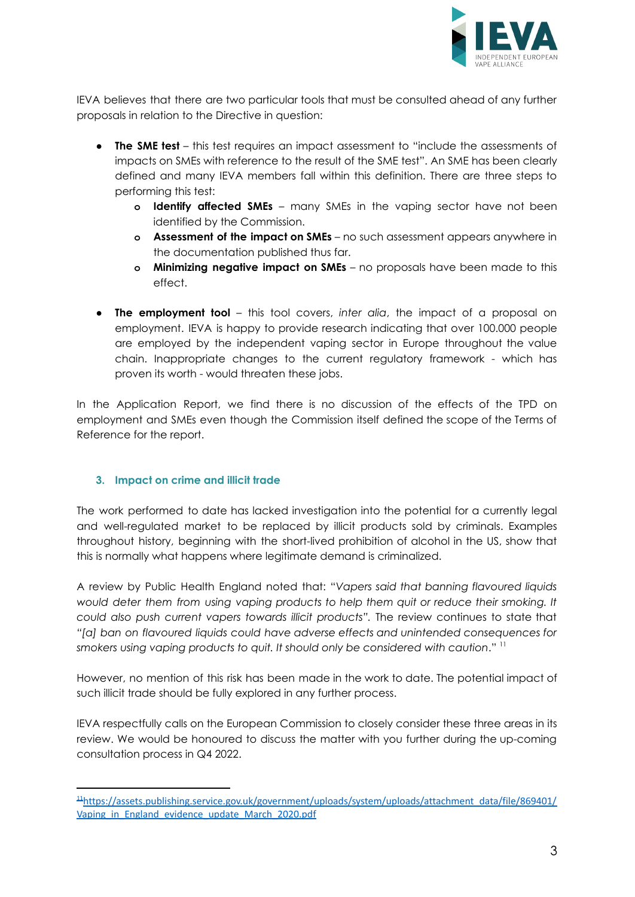

IEVA believes that there are two particular tools that must be consulted ahead of any further proposals in relation to the Directive in question:

- **● The SME test** this test requires an impact assessment to "include the assessments of impacts on SMEs with reference to the result of the SME test". An SME has been clearly defined and many IEVA members fall within this definition. There are three steps to performing this test:
	- **o Identify affected SMEs** many SMEs in the vaping sector have not been identified by the Commission.
	- **o Assessment of the impact on SMEs** no such assessment appears anywhere in the documentation published thus far.
	- **o Minimizing negative impact on SMEs** no proposals have been made to this effect.
- **● The employment tool** this tool covers, *inter alia*, the impact of a proposal on employment. IEVA is happy to provide research indicating that over 100.000 people are employed by the independent vaping sector in Europe throughout the value chain. Inappropriate changes to the current regulatory framework - which has proven its worth - would threaten these jobs.

In the Application Report, we find there is no discussion of the effects of the TPD on employment and SMEs even though the Commission itself defined the scope of the Terms of Reference for the report.

### **3. Impact on crime and illicit trade**

The work performed to date has lacked investigation into the potential for a currently legal and well-regulated market to be replaced by illicit products sold by criminals. Examples throughout history, beginning with the short-lived prohibition of alcohol in the US, show that this is normally what happens where legitimate demand is criminalized.

A review by Public Health England noted that: "*Vapers said that banning flavoured liquids would deter them from using vaping products to help them quit or reduce their smoking. It could also push current vapers towards illicit products".* The review continues to state that *"[a] ban on flavoured liquids could have adverse effects and unintended consequences for smokers using vaping products to quit. It should only be considered with caution*." 11

However, no mention of this risk has been made in the work to date. The potential impact of such illicit trade should be fully explored in any further process.

IEVA respectfully calls on the European Commission to closely consider these three areas in its review. We would be honoured to discuss the matter with you further during the up-coming consultation process in Q4 2022.

<sup>11</sup>[https://assets.publishing.service.gov.uk/government/uploads/system/uploads/attachment\\_data/file/869401/](https://assets.publishing.service.gov.uk/government/uploads/system/uploads/attachment_data/file/869401/Vaping_in_England_evidence_update_March_2020.pdf) Vaping in England evidence update March 2020.pdf